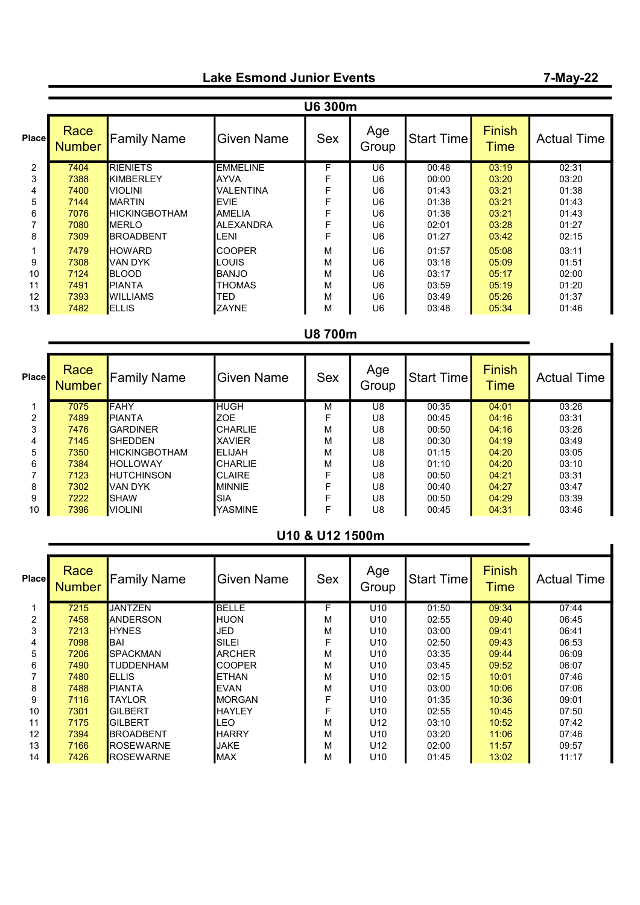# Lake Esmond Junior Events

#### Place Race<br>Number Family Name  $\Big|\begin{array}{c|c}\text{Given Name} & \text{Sex} & \text{Age}\end{array}\Big|$ Start Time Finish **Actual Time** 2 7404 RIENIETS EMMELINE F U6 00:48 03:19 02:31 3 7388 KIMBERLEY AYVA F U6 00:00 03:20 03:20 4 7400 VIOLINI VALENTINA F U6 01:43 03:21 01:38 5 <mark>7144 </mark>MARTIN EVIE | F U6 01:38 <mark>03:21</mark> 01:43 0 7076 HICKINGBOTHAM AMELIA F U6 01:38 03:21 01:43<br>7 7080 MERLO ALEXANDRA F U6 02:01 03:28 01:27 7 <mark>7080 </mark>MERLO ALEXANDRA F U6 02:01 <mark>03:28</mark> 01:27<br>8 7309 BROADBENT LENI F U6 01:27 03:42 02:15 8 <mark>7309 BROADBENT LENI | F | U6 | 01:27 <mark>| 03:42 |</mark> 02:15</mark> 1 7479 HOWARD COOPER M U6 01:57 05:08 03:11 9 <mark>7308 </mark>VAN DYK <mark>LOUIS U6 03:18 <mark> 05:09 </mark> 01:51</mark> 10 7124 BLOOD BANJO M U6 03:17 05:17 02:00 11 <mark>7491 </mark>PIANTA THOMAS M U6 93:59 <mark>05:19</mark> 01:20 12 <mark>7393 </mark>WILLIAMS TED M M U6 03:49 05:26 01:37 13 <mark>7482 </mark>ELLIS ZAYNE M U6 93:48 <mark>05:34</mark> 01:46 U6 300m

### U8 700m

| Place | Race<br><b>Number</b> | <b>Family Name</b>     | Given Name     | <b>Sex</b> | Age<br>Group | <b>Start Time</b> | <b>Finish</b><br><b>Time</b> | <b>Actual Time</b> |  |  |  |
|-------|-----------------------|------------------------|----------------|------------|--------------|-------------------|------------------------------|--------------------|--|--|--|
|       | 7075                  | <b>FAHY</b>            | <b>HUGH</b>    | M          | U8           | 00:35             | 04:01                        | 03:26              |  |  |  |
| 2     | 7489                  | <b>PIANTA</b>          | <b>ZOE</b>     | F          | U8           | 00:45             | 04:16                        | 03:31              |  |  |  |
| 3     | 7476                  | <b>GARDINER</b>        | <b>CHARLIE</b> | M          | U8           | 00:50             | 04:16                        | 03:26              |  |  |  |
| 4     | 7145                  | <b>SHEDDEN</b>         | <b>XAVIER</b>  | M          | U8           | 00:30             | 04:19                        | 03:49              |  |  |  |
| 5     | 7350                  | <b>I</b> HICKINGBOTHAM | <b>IELIJAH</b> | M          | U8           | 01:15             | 04:20                        | 03:05              |  |  |  |
| 6     | 7384                  | <b>I</b> HOLLOWAY      | <b>CHARLIE</b> | M          | U8           | 01:10             | 04:20                        | 03:10              |  |  |  |
|       | 7123                  | <b>I</b> HUTCHINSON    | <b>CLAIRE</b>  | F          | U8           | 00:50             | 04:21                        | 03:31              |  |  |  |
| 8     | 7302                  | VAN DYK                | <b>MINNIE</b>  |            | U8           | 00:40             | 04:27                        | 03:47              |  |  |  |
| 9     | 7222                  | <b>ISHAW</b>           | SIA            |            | U8           | 00:50             | 04:29                        | 03:39              |  |  |  |
| 10    | 7396                  | <b>VIOLINI</b>         | YASMINE        | F          | U8           | 00:45             | 04:31                        | 03:46              |  |  |  |

# U10 & U12 1500m

| <b>Place</b>   | Race<br><b>Number</b> | <b>Family Name</b> | <b>Given Name</b> | <b>Sex</b> | Age<br>Group    | <b>Start Timel</b> | <b>Finish</b><br><b>Time</b> | <b>Actual Time</b> |
|----------------|-----------------------|--------------------|-------------------|------------|-----------------|--------------------|------------------------------|--------------------|
|                | 7215                  | <b>JANTZEN</b>     | <b>BELLE</b>      | F.         | U <sub>10</sub> | 01:50              | 09:34                        | 07:44              |
| $\overline{2}$ | 7458                  | <b>ANDERSON</b>    | HUON              | М          | U <sub>10</sub> | 02:55              | 09:40                        | 06:45              |
| 3              | 7213                  | <b>HYNES</b>       | JED               | M          | U <sub>10</sub> | 03:00              | 09:41                        | 06:41              |
| 4              | 7098                  | IBAI               | <b>SILEI</b>      | F          | U <sub>10</sub> | 02:50              | 09:43                        | 06:53              |
| 5              | 7206                  | <b>ISPACKMAN</b>   | <b>ARCHER</b>     | M          | U <sub>10</sub> | 03:35              | 09:44                        | 06:09              |
| 6              | 7490                  | <b>TUDDENHAM</b>   | <b>COOPER</b>     | м          | U <sub>10</sub> | 03:45              | 09:52                        | 06:07              |
|                | 7480                  | <b>IELLIS</b>      | <b>ETHAN</b>      | M          | U <sub>10</sub> | 02:15              | 10:01                        | 07:46              |
| 8              | 7488                  | <b>PIANTA</b>      | <b>EVAN</b>       | М          | U <sub>10</sub> | 03:00              | 10:06                        | 07:06              |
| 9              | 7116                  | <b>TAYLOR</b>      | IMORGAN           | F          | U <sub>10</sub> | 01:35              | 10:36                        | 09:01              |
| 10             | 7301                  | <b>GILBERT</b>     | <b>HAYLEY</b>     | F          | U <sub>10</sub> | 02:55              | 10:45                        | 07:50              |
| 11             | 7175                  | <b>GILBERT</b>     | .EO               | M          | U <sub>12</sub> | 03:10              | 10:52                        | 07:42              |
| 12             | 7394                  | <b>BROADBENT</b>   | <b>HARRY</b>      | M          | U <sub>10</sub> | 03:20              | 11:06                        | 07:46              |
| 13             | 7166                  | <b>IROSEWARNE</b>  | <b>JAKE</b>       | М          | U12             | 02:00              | 11:57                        | 09:57              |
| 14             | 7426                  | <b>ROSEWARNE</b>   | <b>MAX</b>        | М          | U <sub>10</sub> | 01:45              | 13:02                        | 11:17              |

## 7-May-22

 $\blacksquare$